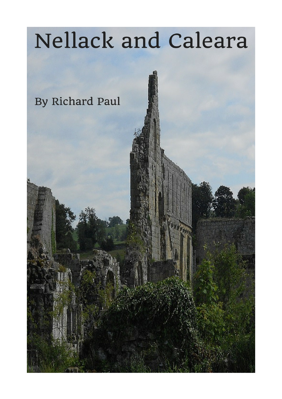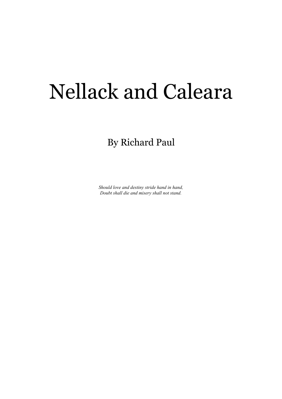# Nellack and Caleara

By Richard Paul

*Should love and destiny stride hand in hand, Doubt shall die and misery shall not stand.*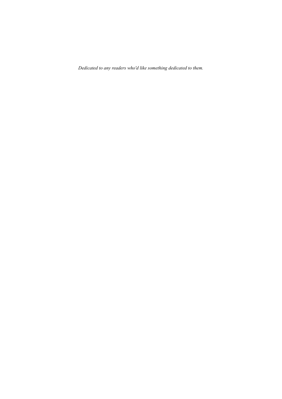*Dedicated to any readers who'd like something dedicated to them.*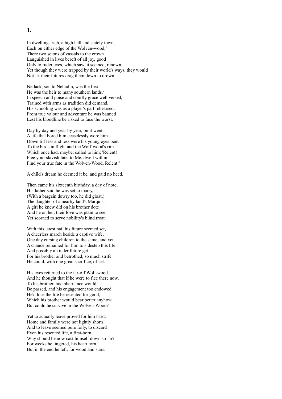In dwellings rich, a high hall and stately town, Each on either edge of the Wolven-wood,<sup>1</sup> There two scions of vassals to the crown Languished in lives bereft of all joy, good Only to ruder eyes, which saw, it seemed, renown. Yet though they were trapped by their world's ways, they would Not let their futures drag them down to drown.

Nellack, son to Nelladin, was the first. He was the heir to many southern lands.<sup>2</sup> In speech and poise and courtly grace well versed, Trained with arms as tradition did demand, His schooling was as a player's part rehearsed, From true valour and adventure he was banned Lest his bloodline be risked to face the worst.

Day by day and year by year, on it went, A life that bored him ceaselessly wore him Down till less and less were his young eyes bent To the birds in flight and the Wolf-wood's rim Which once had, maybe, called to him; 'Relent! Flee your slavish fate, to Me, dwell within! Find your true fate in the Wolven-Wood, Relent!'

A child's dream he deemed it be, and paid no heed.

Then came his sixteenth birthday, a day of note; His father said he was set to marry, (With a bargain dowry too, he did gloat,) The daughter of a nearby land's Marquis, A girl he knew did on his brother dote And he on her, their love was plain to see, Yet scorned to serve nobility's blind troat.

With this latest nail his future seemed set, A cheerless march beside a captive wife, One day cursing children to the same, and yet A chance remained for him to sidestep this life And possibly a kinder future get For his brother and betrothed; so much strife He could, with one great sacrifice, offset.

His eyes returned to the far-off Wolf-wood. And he thought that if he were to flee there now, To his brother, his inheritance would Be passed, and his engagement too endowed. He'd lose the life he resented for good, Which his brother would bear better anyhow, But could he survive in the Wolven-Wood?

Yet to actually leave proved for him hard, Home and family were not lightly shorn And to leave seemed pure folly, to discard Even his resented life, a first-born, Why should he now cast himself down so far? For weeks he lingered, his heart torn, But in the end he left, for wood and stars.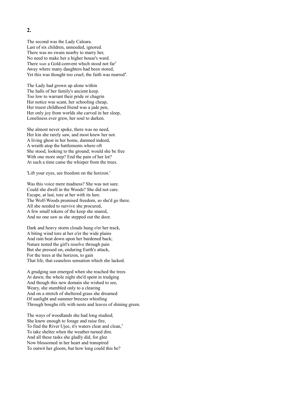The second was the Lady Caleara. Last of six children, unneeded, ignored. There was no swain nearby to marry her, No need to make her a higher house's ward. There *was* a Gold-convent which stood not far<sup>3</sup> Away where many daughters had been stored, Yet this was thought too cruel; the faith was marred<sup>4</sup>.

The Lady had grown up alone within The halls of her family's ancient keep. Too low to warrant their pride or chagrin Her notice was scant, her schooling cheap, Her truest childhood friend was a jade pen, Her only joy from worlds she carved in her sleep, Loneliness ever grew, her soul to darken.

She almost never spoke, there was no need, Her kin she rarely saw, and most knew her not. A living ghost in her home, damned indeed, A wraith atop the battlements where oft She stood, looking to the ground; would she be free With one more step? End the pain of her lot? At such a time came the whisper from the trees.

'Lift your eyes, see freedom on the horizon.'

Was this voice mere madness? She was not sure. Could she dwell in the Woods? She did not care. Escape, at last, tore at her with its lure. The Wolf-Woods promised freedom, so she'd go there. All she needed to survive she procured, A few small tokens of the keep she snared, And no one saw as she stepped out the door.

Dark and heavy storm clouds hung o'er her track, A biting wind tore at her o'er the wide plains And rain beat down upon her burdened back; Nature tested the girl's resolve through pain But she pressed on, enduring Earth's attack, For the trees at the horizon, to gain That life, that ceaseless sensation which she lacked.

A grudging sun emerged when she reached the trees At dawn; the whole night she'd spent in trudging And though this new domain she wished to see, Weary, she stumbled only to a clearing And on a stretch of sheltered grass she dreamed Of sunlight and summer breezes whistling Through boughs rife with nests and leaves of shining green.

The ways of woodlands she had long studied; She knew enough to forage and raise fire, To find the River Ujee, it's waters clear and clean,<sup>5</sup> To take shelter when the weather turned dire. And all these tasks she gladly did, for glee Now blossomed in her heart and transpired To outwit her gloom, but how long could this be?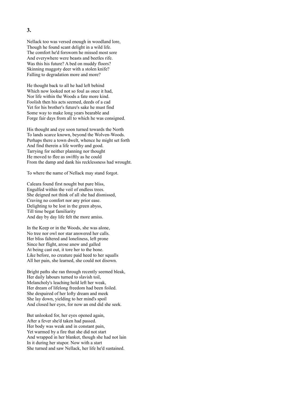#### Nellack too was versed enough in woodland lore, Though he found scant delight in a wild life. The comfort he'd forsworn he missed most sore And everywhere were beasts and beetles rife. Was this his future? A bed on muddy floors? Skinning maggoty deer with a stolen knife? Falling to degradation more and more?

He thought back to all he had left behind Which now looked not so foul as once it had, Nor life within the Woods a fate more kind. Foolish then his acts seemed, deeds of a cad Yet for his brother's future's sake he must find Some way to make long years bearable and Forge fair days from all to which he was consigned.

His thought and eye soon turned towards the North To lands scarce known, beyond the Wolven-Woods. Perhaps there a town dwelt, whence he might set forth And find therein a life worthy and good. Tarrying for neither planning nor thought He moved to flee as swiftly as he could From the damp and dank his recklessness had wrought.

To where the name of Nellack may stand forgot.

Caleara found first nought but pure bliss, Engulfed within the veil of endless trees. She deigned not think of all she had dismissed, Craving no comfort nor any prior ease. Delighting to be lost in the green abyss, Till time begat familiarity And day by day life felt the more amiss.

In the Keep or in the Woods, she was alone, No tree nor owl nor star answered her calls. Her bliss faltered and loneliness, left prone Since her flight, arose anew and galled At being cast out, it tore her to the bone. Like before, no creature paid heed to her squalls All her pain, she learned, she could not disown.

Bright paths she ran through recently seemed bleak, Her daily labours turned to slavish toil, Melancholy's leaching hold left her weak, Her dream of lifelong freedom had been foiled. She despaired of her lofty dream and meek She lay down, yielding to her mind's spoil And closed her eyes, for now an end did she seek.

But unlooked for, her eyes opened again, After a fever she'd taken had passed. Her body was weak and in constant pain, Yet warmed by a fire that she did not start And wrapped in her blanket, though she had not lain In it during her stupor. Now with a start She turned and saw Nellack, her life he'd sustained.

#### **3.**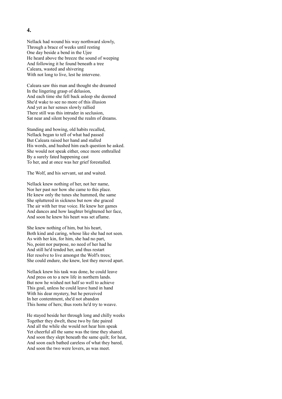Nellack had wound his way northward slowly, Through a brace of weeks until resting One day beside a bend in the Ujee He heard above the breeze the sound of weeping And following it he found beneath a tree Caleara, wasted and shivering With not long to live, lest he intervene.

Caleara saw this man and thought she dreamed In the lingering grasp of delusion, And each time she fell back asleep she deemed She'd wake to see no more of this illusion And yet as her senses slowly rallied There still was this intruder in seclusion, Sat near and silent beyond the realm of dreams.

Standing and bowing, old habits recalled, Nellack began to tell of what had passed But Caleara raised her hand and stalled His words, and hushed him each question he asked. She would not speak either, once more enthralled By a surely fated happening cast To her, and at once was her grief forestalled.

The Wolf, and his servant, sat and waited.

Nellack knew nothing of her, not her name, Nor her past nor how she came to this place. He knew only the tunes she hummed, the same She spluttered in sickness but now she graced The air with her true voice. He knew her games And dances and how laughter brightened her face, And soon he knew his heart was set aflame.

She knew nothing of him, but his heart, Both kind and caring, whose like she had not seen. As with her kin, for him, she had no part, No, point nor purpose, no need of her had he And still he'd tended her, and thus restart Her resolve to live amongst the Wolf's trees; She could endure, she knew, lest they moved apart.

Nellack knew his task was done, he could leave And press on to a new life in northern lands. But now he wished not half so well to achieve This goal, unless he could leave hand in hand With his dear mystery, but he perceived In her contentment, she'd not abandon This home of hers; thus roots he'd try to weave.

He stayed beside her through long and chilly weeks Together they dwelt, these two by fate paired And all the while she would not hear him speak Yet cheerful all the same was the time they shared. And soon they slept beneath the same quilt; for heat, And soon each bathed careless of what they bared, And soon the two were lovers, as was meet.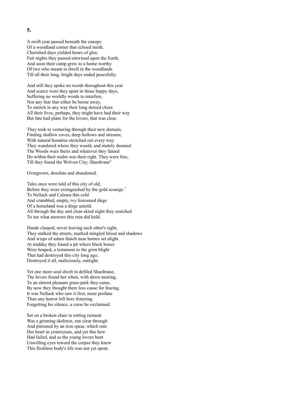A swift year passed beneath the canopy Of a woodland corner that echoed mirth. Cherished days yielded hours of glee, Fair nights they passed entwined upon the Earth, And soon their camp grew to a home worthy Of two who meant to dwell in the woodlands Till all their long, bright days ended peacefully.

And still they spoke no words throughout this year And scarce were they apart in those happy days, Suffering no worldly words to interfere, Nor any fear that either be borne away, To smirch in any way their long denied cheer. All their lives, perhaps, they might have had their way But fate had plans for the lovers, that was clear.

They took to venturing through their new domain, Finding shallow caves, deep hollows and streams; With natural bounties stretched out every way They wandered where they would, and mutely deemed The Woods were theirs and whatever they fained Do within their realm was their right. They were free, Till they found the Wolven City; Shaoltrane<sup>6</sup>

Overgrown, desolate and abandoned.

Tales once were told of this city of old, Before they were extinguished by the gold scourge.<sup>7</sup> To Nellack and Caleara this cold And crumbled, empty, ivy festooned dirge Of a homeland was a dirge untold. All through the day and clear-skied night they searched To see what answers this ruin did hold.

Hands clasped, never leaving each other's sight, They stalked the streets, marked mingled blood and shadows And wisps of ashen thatch near homes set alight. At midday they found a pit where black bones Were heaped, a testament to the grim blight That had destroyed this city long ago, Destroyed it all, maliciously, outright.

Yet one more soul dwelt in defiled Shaoltrane, The lovers found her when, with dawn nearing, To an almost pleasant grass-park they came, By now they thought there less cause for fearing. It was Nellack who saw it first, more profane Than any horror left here festering. Forgetting his silence, a curse he exclaimed.

Set on a broken chair in rotting raiment Was a grinning skeleton, run clear through And pinioned by an iron spear, which rent Her heart in yesteryears, and yet this hew Had failed, and as the young lovers bent Unwilling eyes toward the corpse they knew This fleshless body's life was not yet spent.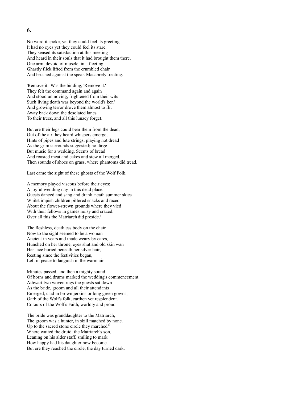No word it spoke, yet they could feel its greeting It had no eyes yet they could feel its stare. They sensed its satisfaction at this meeting And heard in their souls that it had brought them there. One arm, devoid of muscle, in a fleeting Ghastly flick lifted from the crumbled chair And brushed against the spear. Macabrely treating.

'Remove it.' Was the bidding, 'Remove it.' They felt the command again and again And stood unmoving, frightened from their wits Such living death was beyond the world's  $ken<sup>8</sup>$ And growing terror drove them almost to flit Away back down the desolated lanes To their trees, and all this lunacy forget.

But ere their legs could bear them from the dead, Out of the air they heard whispers emerge, Hints of pipes and lute strings, playing not dread As the grim surrounds suggested; no dirge But music for a wedding. Scents of bread And roasted meat and cakes and stew all merged, Then sounds of shoes on grass, where phantoms did tread.

Last came the sight of these ghosts of the Wolf Folk.

A memory played viscous before their eyes; A joyful wedding day in this dead place. Guests danced and sang and drank 'neath summer skies Whilst impish children pilfered snacks and raced About the flower-strewn grounds where they vied With their fellows in games noisy and crazed. Over all this the Matriarch did preside.<sup>9</sup>

The fleshless, deathless body on the chair Now to the sight seemed to be a woman Ancient in years and made weary by cares, Hunched on her throne, eyes shut and old skin wan Her face buried beneath her silver hair, Resting since the festivities began, Left in peace to languish in the warm air.

Minutes passed, and then a mighty sound Of horns and drums marked the wedding's commencement. Athwart two woven rugs the guests sat down As the bride, groom and all their attendants Emerged, clad in brown jerkins or long green gowns, Garb of the Wolf's folk, earthen yet resplendent. Colours of the Wolf's Faith, worldly and proud.

The bride was granddaughter to the Matriarch, The groom was a hunter, in skill matched by none. Up to the sacred stone circle they marched<sup>10</sup> Where waited the druid, the Matriarch's son, Leaning on his alder staff, smiling to mark How happy had his daughter now become. But ere they reached the circle, the day turned dark.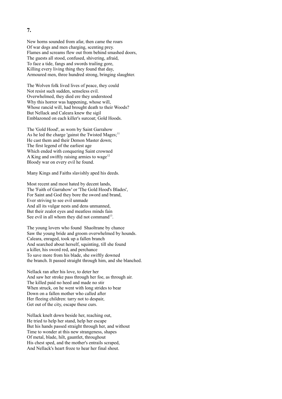New horns sounded from afar, then came the roars Of war dogs and men charging, scenting prey. Flames and screams flew out from behind smashed doors, The guests all stood, confused, shivering, afraid, To face a tide, fangs and swords trailing gore, Killing every living thing they found that day, Armoured men, three hundred strong, bringing slaughter.

The Wolven folk lived lives of peace, they could Not resist such sudden, senseless evil. Overwhelmed, they died ere they understood Why this horror was happening, whose will, Whose rancid will, had brought death to their Woods? But Nellack and Caleara knew the sigil Emblazoned on each killer's surcoat; Gold Hoods.

The 'Gold Hood', as worn by Saint Garrahow As he led the charge 'gainst the Twisted Mages; $<sup>11</sup>$ </sup> He cast them and their Demon Master down; The first legend of the earliest age Which ended with conquering Saint crowned A King and swiftly raising armies to wage<sup>12</sup> Bloody war on every evil he found.

Many Kings and Faiths slavishly aped his deeds.

Most recent and most hated by decent lands, The 'Faith of Garrahow' or 'The Gold Hood's Blades', For Saint and God they bore the sword and brand, Ever striving to see evil unmade And all its vulgar nests and dens unmanned, But their zealot eyes and meatless minds fain See evil in all whom they did not command<sup>13</sup>.

The young lovers who found Shaoltrane by chance Saw the young bride and groom overwhelmed by hounds. Caleara, enraged, took up a fallen branch And searched about herself, squinting, till she found a killer, his sword red, and perchance To save more from his blade, she swiftly downed the branch. It passed straight through him, and she blanched.

Nellack ran after his love, to deter her And saw her stroke pass through her foe, as through air. The killed paid no heed and made no stir When struck, on he went with long strides to bear Down on a fallen mother who called after Her fleeing children: tarry not to despair, Get out of the city, escape these curs.

Nellack knelt down beside her, reaching out, He tried to help her stand, help her escape But his hands passed straight through her, and without Time to wonder at this new strangeness, shapes Of metal, blade, hilt, gauntlet, throughout His chest sped, and the mother's entrails scraped, And Nellack's heart froze to hear her final shout.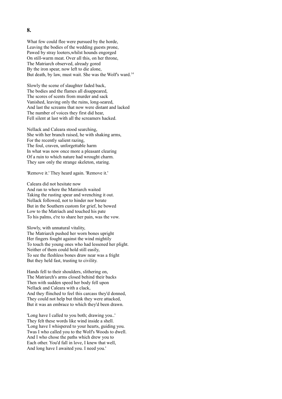What few could flee were pursued by the horde, Leaving the bodies of the wedding guests prone, Pawed by stray looters,whilst hounds engorged On still-warm meat. Over all this, on her throne, The Matriarch observed, already gored By the iron spear, now left to die alone, But death, by law, must wait. She was the Wolf's ward.<sup>14</sup>

Slowly the scene of slaughter faded back, The bodies and the flames all disappeared, The scores of scents from murder and sack Vanished, leaving only the ruins, long-seared, And last the screams that now were distant and lacked The number of voices they first did hear, Fell silent at last with all the screamers hacked.

Nellack and Caleara stood searching, She with her branch raised, he with shaking arms, For the recently salient razing, The foul, craven, unforgettable harm In what was now once more a pleasant clearing Of a ruin to which nature had wrought charm. They saw only the strange skeleton, staring.

'Remove it.' They heard again. 'Remove it.'

Caleara did not hesitate now And ran to where the Matriarch waited Taking the rusting spear and wrenching it out. Nellack followed, not to hinder nor berate But in the Southern custom for grief, he bowed Low to the Matriach and touched his pate To his palms, e're to share her pain, was the vow.

Slowly, with unnatural vitality, The Matriarch pushed her worn bones upright Her fingers fought against the wind mightily To touch the young ones who had lessened her plight. Neither of them could hold still easily, To see the fleshless bones draw near was a fright But they held fast, trusting to civility.

Hands fell to their shoulders, slithering on, The Matriarch's arms closed behind their backs Then with sudden speed her body fell upon Nellack and Caleara with a clack, And they flinched to feel this carcass they'd donned, They could not help but think they were attacked, But it was an embrace to which they'd been drawn.

'Long have I called to you both; drawing you..' They felt these words like wind inside a shell. 'Long have I whispered to your hearts, guiding you. Twas I who called you to the Wolf's Woods to dwell. And I who chose the paths which drew you to Each other. You'd fall in love, I knew that well, And long have I awaited you. I need you.'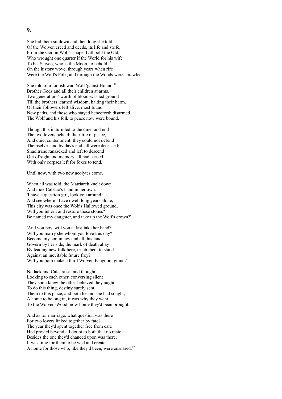She bid them sit down and then long she told Of the Wolven creed and deeds, its life and strife, From the God in Wolf's shape, Lathoohl the Old, Who wrought one quarter if the World for his wife To be, Saiyeo, who is the Moon, to behold.<sup>15</sup> On the history wove, through years when rife Were the Wolf's Folk, and through the Woods were sprawled.

She told of a foolish war, Wolf 'gainst Hound,<sup>16</sup> Brother Gods and all their children at arms. Two generations' worth of blood-washed ground Till the brothers learned wisdom, halting their harm. Of their followers left alive, most found New paths, and those who stayed henceforth disarmed The Wolf and his folk to peace now were bound.

Though this in turn led to the quiet and end The two lovers beheld; their life of peace, And quiet contentment; they could not defend Themselves and by day's end, all were deceased; Shaoltrane ransacked and left to descend Out of sight and memory, all had ceased, With only corpses left for foxes to tend.

Until now, with two new acolytes come.

When all was told, the Matriarch knelt down And took Caleara's hand in her own. 'I have a question girl, look you around And see where I have dwelt long years alone; This city was once the Wolf's Hallowed ground, Will you inherit and restore these stones? Be named my daughter, and take up the Wolf's crown?'

'And you boy, will you at last take her hand? Will you marry she whom you love this day? Become my son in law and all this land Govern by her side, the mark of death allay By leading new folk here, teach them to stand Against an inevitable future frey? Will you both make a third Wolven Kingdom grand?'

Nellack and Caleara sat and thought Looking to each other, conversing silent They soon knew the other believed they aught To do this thing, destiny surely sent Them to this place, and both he and she had sought, A home to belong in, it was why they went To the Wolven-Wood; now home they'd been brought.

And as for marriage, what question was there For two lovers linked together by fate? The year they'd spent together free from care Had proved beyond all doubt to both that no mate Besides the one they'd chanced upon was there. It was time for them to be wed and create A home for those who, like they'd been, were ensnared.<sup>17</sup>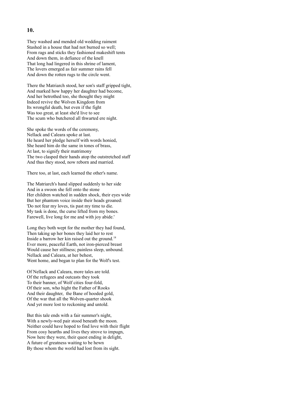They washed and mended old wedding raiment Stashed in a house that had not burned so well; From rags and sticks they fashioned makeshift tents And down them, in defiance of the knell That long had lingered in this shrine of lament, The lovers emerged as fair summer rains fell And down the rotten rugs to the circle went.

There the Matriarch stood, her son's staff gripped tight, And marked how happy her daughter had become, And her betrothed too, she thought they might Indeed revive the Wolven Kingdom from Its wrongful death, but even if the fight Was too great, at least she'd live to see The scum who butchered all thwarted ere night.

She spoke the words of the ceremony, Nellack and Caleara spoke at last. He heard her pledge herself with words honied, She heard him do the same in tones of brass, At last, to signify their matrimony The two clasped their hands atop the outstretched staff And thus they stood, now reborn and married.

There too, at last, each learned the other's name.

The Matriarch's hand slipped suddenly to her side And in a swoon she fell onto the stone Her children watched in sudden shock, their eyes wide But her phantom voice inside their heads groaned: 'Do not fear my loves, tis past my time to die. My task is done, the curse lifted from my bones. Farewell, live long for me and with joy abide.'

Long they both wept for the mother they had found, Then taking up her bones they laid her to rest Inside a barrow her kin raised out the ground.<sup>18</sup> Ever more, peaceful Earth, not iron-pierced breast Would cause her stillness; painless sleep, unbound. Nellack and Caleara, at her behest, Went home, and began to plan for the Wolf's test.

Of Nellack and Caleara, more tales are told. Of the refugees and outcasts they took To their banner, of Wolf cities four-fold, Of their son, who hight the Father of Rooks And their daughter, the Bane of hooded gold, Of the war that all the Wolven-quarter shook And yet more lost to reckoning and untold.

But this tale ends with a fair summer's night, With a newly-wed pair stood beneath the moon. Neither could have hoped to find love with their flight From cosy hearths and lives they strove to impugn, Now here they were, their quest ending in delight, A future of greatness waiting to be hewn By those whom the world had lost from its sight.